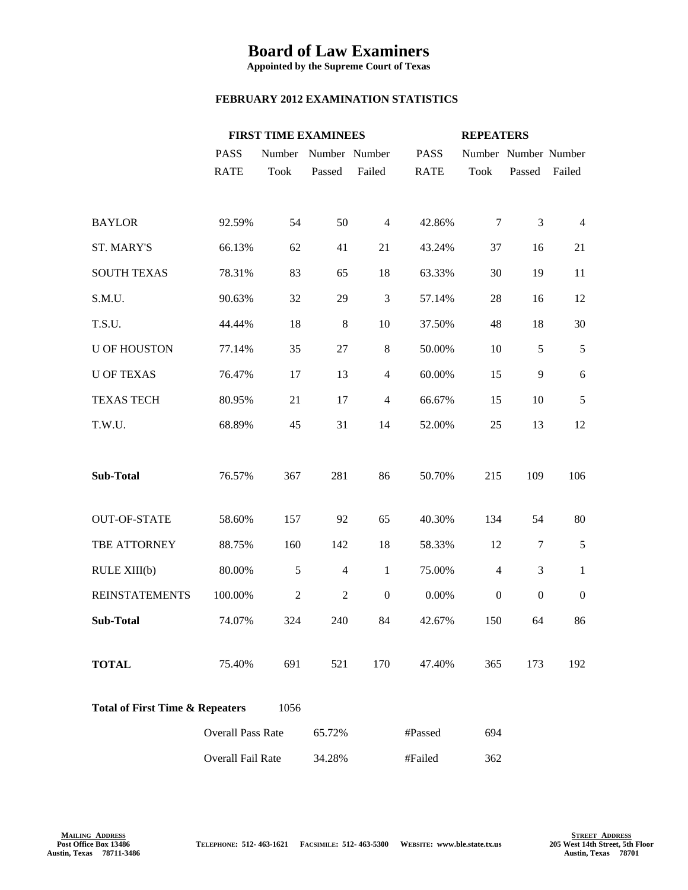## **Board of Law Examiners**

**Appointed by the Supreme Court of Texas**

## **FEBRUARY 2012 EXAMINATION STATISTICS**

|                                                    |                          | <b>FIRST TIME EXAMINEES</b> |                      |                  |             | <b>REPEATERS</b>     |                  |                  |
|----------------------------------------------------|--------------------------|-----------------------------|----------------------|------------------|-------------|----------------------|------------------|------------------|
|                                                    | <b>PASS</b>              |                             | Number Number Number |                  | <b>PASS</b> | Number Number Number |                  |                  |
|                                                    | <b>RATE</b>              | Took                        | Passed               | Failed           | <b>RATE</b> | Took                 | Passed           | Failed           |
|                                                    |                          |                             |                      |                  |             |                      |                  |                  |
| <b>BAYLOR</b>                                      | 92.59%                   | 54                          | 50                   | $\overline{4}$   | 42.86%      | 7                    | 3                | $\overline{4}$   |
| ST. MARY'S                                         | 66.13%                   | 62                          | 41                   | 21               | 43.24%      | 37                   | 16               | 21               |
| <b>SOUTH TEXAS</b>                                 | 78.31%                   | 83                          | 65                   | 18               | 63.33%      | 30                   | 19               | 11               |
| S.M.U.                                             | 90.63%                   | 32                          | 29                   | 3                | 57.14%      | 28                   | 16               | 12               |
| T.S.U.                                             | 44.44%                   | 18                          | $8\phantom{1}$       | 10               | 37.50%      | 48                   | 18               | 30               |
| <b>U OF HOUSTON</b>                                | 77.14%                   | 35                          | 27                   | $8\phantom{.0}$  | 50.00%      | 10                   | 5                | 5                |
| <b>U OF TEXAS</b>                                  | 76.47%                   | 17                          | 13                   | $\overline{4}$   | 60.00%      | 15                   | 9                | 6                |
| <b>TEXAS TECH</b>                                  | 80.95%                   | 21                          | 17                   | $\overline{4}$   | 66.67%      | 15                   | 10               | 5                |
| T.W.U.                                             | 68.89%                   | 45                          | 31                   | 14               | 52.00%      | 25                   | 13               | 12               |
|                                                    |                          |                             |                      |                  |             |                      |                  |                  |
| <b>Sub-Total</b>                                   | 76.57%                   | 367                         | 281                  | 86               | 50.70%      | 215                  | 109              | 106              |
|                                                    |                          |                             |                      |                  |             |                      |                  |                  |
| <b>OUT-OF-STATE</b>                                | 58.60%                   | 157                         | 92                   | 65               | 40.30%      | 134                  | 54               | 80               |
| TBE ATTORNEY                                       | 88.75%                   | 160                         | 142                  | 18               | 58.33%      | 12                   | $\tau$           | 5                |
| RULE XIII(b)                                       | 80.00%                   | 5                           | $\overline{4}$       | $\mathbf{1}$     | 75.00%      | $\overline{4}$       | $\mathfrak{Z}$   | $\mathbf{1}$     |
| <b>REINSTATEMENTS</b>                              | 100.00%                  | $\overline{2}$              | $\overline{2}$       | $\boldsymbol{0}$ | 0.00%       | $\boldsymbol{0}$     | $\boldsymbol{0}$ | $\boldsymbol{0}$ |
| <b>Sub-Total</b>                                   | 74.07%                   | 324                         | 240                  | 84               | 42.67%      | 150                  | 64               | 86               |
|                                                    |                          |                             |                      |                  |             |                      |                  |                  |
| <b>TOTAL</b>                                       | 75.40%                   | 691                         | 521                  | 170              | 47.40%      | 365                  | 173              | 192              |
| 1056<br><b>Total of First Time &amp; Repeaters</b> |                          |                             |                      |                  |             |                      |                  |                  |
|                                                    | <b>Overall Pass Rate</b> |                             | 65.72%               |                  | #Passed     | 694                  |                  |                  |
|                                                    | Overall Fail Rate        |                             | 34.28%               |                  | #Failed     | 362                  |                  |                  |